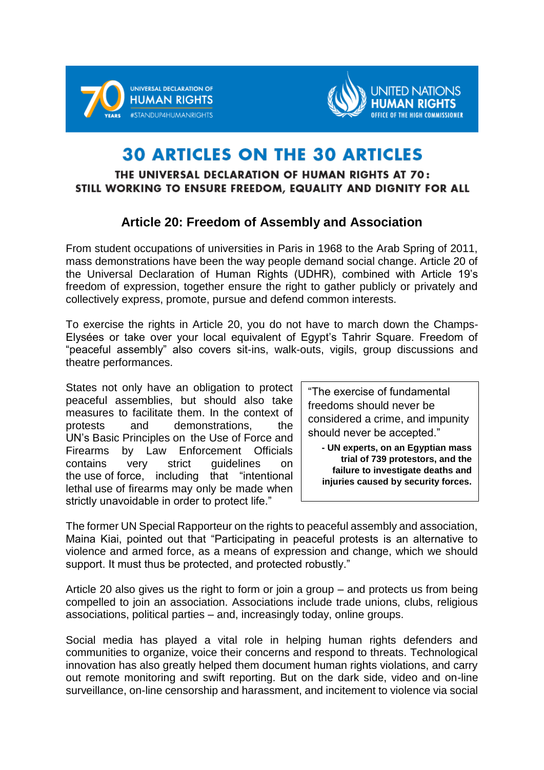



## **30 ARTICLES ON THE 30 ARTICLES**

## THE UNIVERSAL DECLARATION OF HUMAN RIGHTS AT 70: STILL WORKING TO ENSURE FREEDOM, EQUALITY AND DIGNITY FOR ALL

## **Article 20: Freedom of Assembly and Association**

From student occupations of universities in Paris in 1968 to the Arab Spring of 2011, mass demonstrations have been the way people demand social change. Article 20 of the Universal Declaration of Human Rights (UDHR), combined with Article 19's freedom of expression, together ensure the right to gather publicly or privately and collectively express, promote, pursue and defend common interests.

To exercise the rights in Article 20, you do not have to march down the Champs-Elysées or take over your local equivalent of Egypt's Tahrir Square. Freedom of "peaceful assembly" also covers sit-ins, walk-outs, vigils, group discussions and theatre performances.

States not only have an obligation to protect peaceful assemblies, but should also take measures to facilitate them. In the context of protests and demonstrations, the UN's Basic Principles on the Use of Force and Firearms by Law Enforcement Officials contains very strict guidelines on the use of force, including that "intentional lethal use of firearms may only be made when strictly unavoidable in order to protect life."

"The exercise of fundamental freedoms should never be considered a crime, and impunity should never be accepted."

**- UN experts, on an Egyptian mass trial of 739 protestors, and the failure to investigate deaths and injuries caused by security forces.**

The former UN Special Rapporteur on the rights to peaceful assembly and association, Maina Kiai, pointed out that "Participating in peaceful protests is an alternative to violence and armed force, as a means of expression and change, which we should support. It must thus be protected, and protected robustly."

Article 20 also gives us the right to form or join a group – and protects us from being compelled to join an association. Associations include trade unions, clubs, religious associations, political parties – and, increasingly today, online groups.

Social media has played a vital role in helping human rights defenders and communities to organize, voice their concerns and respond to threats. Technological innovation has also greatly helped them document human rights violations, and carry out remote monitoring and swift reporting. But on the dark side, video and on-line surveillance, on-line censorship and harassment, and incitement to violence via social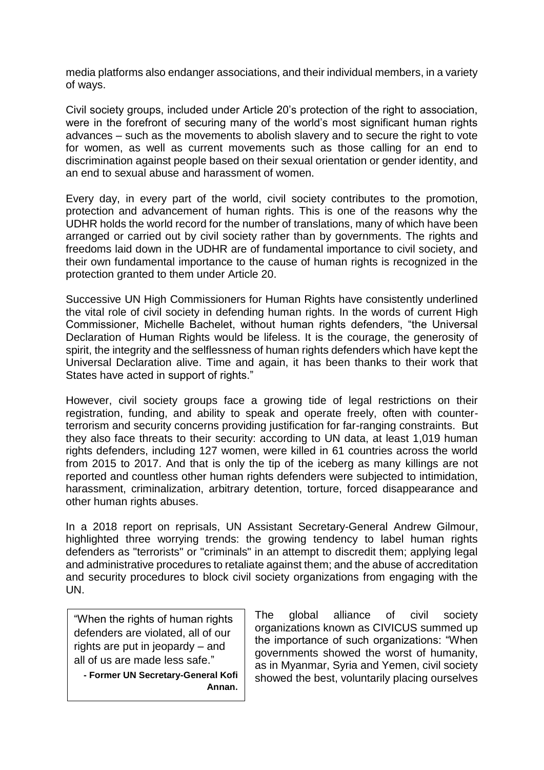media platforms also endanger associations, and their individual members, in a variety of ways.

Civil society groups, included under Article 20's protection of the right to association, were in the forefront of securing many of the world's most significant human rights advances – such as the movements to abolish slavery and to secure the right to vote for women, as well as current movements such as those calling for an end to discrimination against people based on their sexual orientation or gender identity, and an end to sexual abuse and harassment of women.

Every day, in every part of the world, civil society contributes to the promotion, protection and advancement of human rights. This is one of the reasons why the UDHR holds the world record for the number of translations, many of which have been arranged or carried out by civil society rather than by governments. The rights and freedoms laid down in the UDHR are of fundamental importance to civil society, and their own fundamental importance to the cause of human rights is recognized in the protection granted to them under Article 20.

Successive UN High Commissioners for Human Rights have consistently underlined the vital role of civil society in defending human rights. In the words of current High Commissioner, Michelle Bachelet, without human rights defenders, "the Universal Declaration of Human Rights would be lifeless. It is the courage, the generosity of spirit, the integrity and the selflessness of human rights defenders which have kept the Universal Declaration alive. Time and again, it has been thanks to their work that States have acted in support of rights."

However, civil society groups face a growing tide of legal restrictions on their registration, funding, and ability to speak and operate freely, often with counterterrorism and security concerns providing justification for far-ranging constraints. But they also face threats to their security: according to UN data, at least 1,019 human rights defenders, including 127 women, were killed in 61 countries across the world from 2015 to 2017. And that is only the tip of the iceberg as many killings are not reported and countless other human rights defenders were subjected to intimidation, harassment, criminalization, arbitrary detention, torture, forced disappearance and other human rights abuses.

In a 2018 report on reprisals, UN Assistant Secretary-General Andrew Gilmour, highlighted three worrying trends: the growing tendency to label human rights defenders as "terrorists" or "criminals" in an attempt to discredit them; applying legal and administrative procedures to retaliate against them; and the abuse of accreditation and security procedures to block civil society organizations from engaging with the UN.

"When the rights of human rights defenders are violated, all of our rights are put in jeopardy – and all of us are made less safe."

**- Former UN Secretary-General Kofi Annan.** The global alliance of civil society organizations known as CIVICUS summed up the importance of such organizations: "When governments showed the worst of humanity, as in Myanmar, Syria and Yemen, civil society showed the best, voluntarily placing ourselves